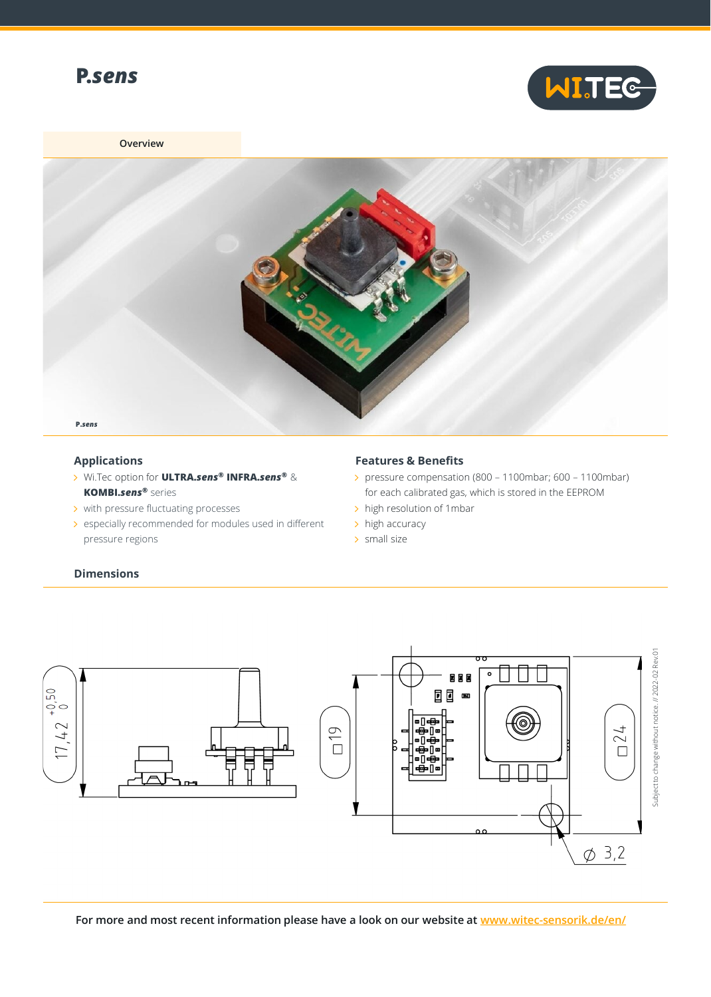



## **Overview**



## **Applications**

**Dimensions**

- Wi.Tec option for **ULTRA.***sens***® INFRA.***sens***®** & **KOMBI.***sens***®** series
- > with pressure fluctuating processes
- > especially recommended for modules used in different pressure regions

## **Features & Benefits**

- pressure compensation (800 1100mbar; 600 1100mbar) for each calibrated gas, which is stored in the EEPROM
- > high resolution of 1mbar
- $\rightarrow$  high accuracy
- > small size



**For more and most recent information please have a look on our website at [www.witec-sensorik.de/en/](http://www.witec-sensorik.de/en/)**